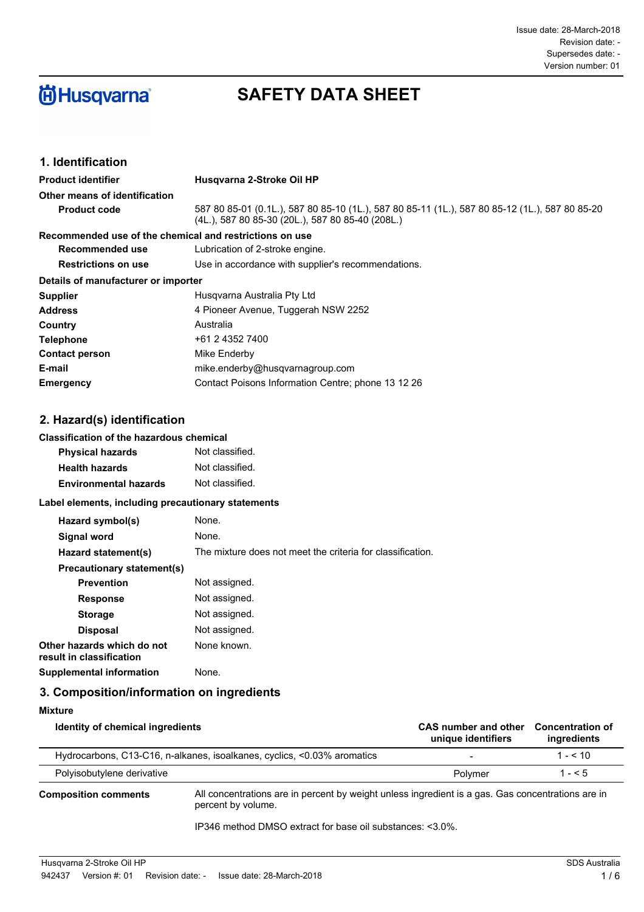

# **SAFETY DATA SHEET**

## **1. Identification**

| <b>Product identifier</b>           | Husgvarna 2-Stroke Oil HP                                                                                                                          |
|-------------------------------------|----------------------------------------------------------------------------------------------------------------------------------------------------|
| Other means of identification       |                                                                                                                                                    |
| <b>Product code</b>                 | 587 80 85-01 (0.1L.), 587 80 85-10 (1L.), 587 80 85-11 (1L.), 587 80 85-12 (1L.), 587 80 85-20<br>(4L.), 587 80 85-30 (20L.), 587 80 85-40 (208L.) |
|                                     | Recommended use of the chemical and restrictions on use                                                                                            |
| Recommended use                     | Lubrication of 2-stroke engine.                                                                                                                    |
| <b>Restrictions on use</b>          | Use in accordance with supplier's recommendations.                                                                                                 |
| Details of manufacturer or importer |                                                                                                                                                    |
| <b>Supplier</b>                     | Husgvarna Australia Pty Ltd                                                                                                                        |
| <b>Address</b>                      | 4 Pioneer Avenue, Tuggerah NSW 2252                                                                                                                |
| Country                             | Australia                                                                                                                                          |
| <b>Telephone</b>                    | +61 2 4352 7400                                                                                                                                    |
| <b>Contact person</b>               | Mike Enderby                                                                                                                                       |
| E-mail                              | mike.enderby@husqvarnagroup.com                                                                                                                    |
| <b>Emergency</b>                    | Contact Poisons Information Centre; phone 13 12 26                                                                                                 |

### **2. Hazard(s) identification**

#### **Classification of the hazardous chemical**

| <b>Physical hazards</b>      | Not classified. |
|------------------------------|-----------------|
| <b>Health hazards</b>        | Not classified. |
| <b>Environmental hazards</b> | Not classified. |

### **Label elements, including precautionary statements**

| Hazard symbol(s)                                       | None.                                                      |
|--------------------------------------------------------|------------------------------------------------------------|
| Signal word                                            | None.                                                      |
| Hazard statement(s)                                    | The mixture does not meet the criteria for classification. |
| Precautionary statement(s)                             |                                                            |
| <b>Prevention</b>                                      | Not assigned.                                              |
| <b>Response</b>                                        | Not assigned.                                              |
| <b>Storage</b>                                         | Not assigned.                                              |
| <b>Disposal</b>                                        | Not assigned.                                              |
| Other hazards which do not<br>result in classification | None known.                                                |
| Supplemental information                               | None.                                                      |

## **3. Composition/information on ingredients**

| Mixture                          |                                                                                                   |                                            |                                        |
|----------------------------------|---------------------------------------------------------------------------------------------------|--------------------------------------------|----------------------------------------|
| Identity of chemical ingredients |                                                                                                   | CAS number and other<br>unique identifiers | <b>Concentration of</b><br>ingredients |
|                                  | Hydrocarbons, C13-C16, n-alkanes, isoalkanes, cyclics, <0.03% aromatics                           | $\overline{\phantom{a}}$                   | $1 - 5.10$                             |
| Polyisobutylene derivative       |                                                                                                   | Polymer                                    | $1 - 5$                                |
| <b>Composition comments</b>      | All concentrations are in percent by weight unless ingredient is a gas. Gas concentrations are in |                                            |                                        |

percent by volume.

IP346 method DMSO extract for base oil substances: <3.0%.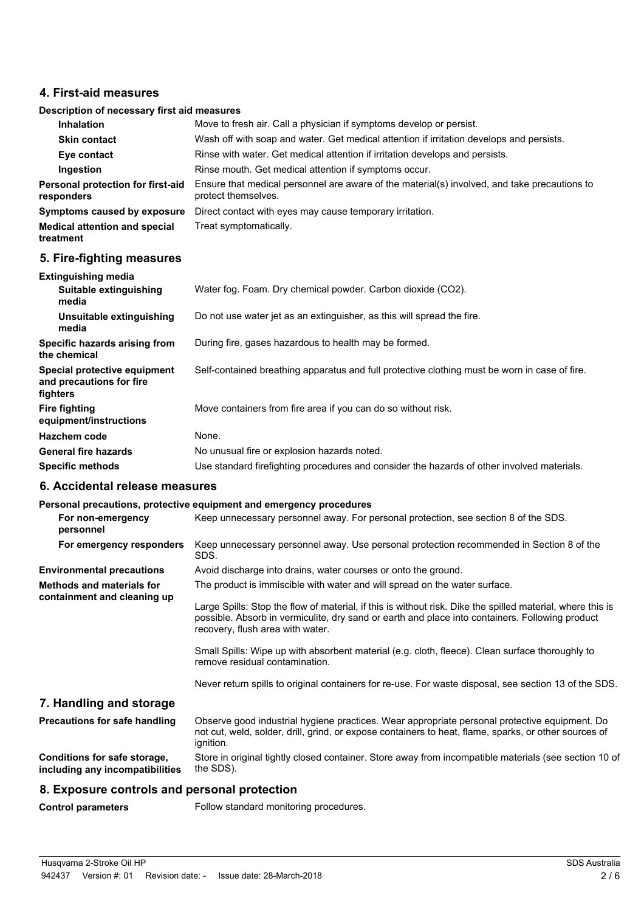### **4. First-aid measures**

### **Description of necessary first aid measures**

| Inhalation                                      | Move to fresh air. Call a physician if symptoms develop or persist.                                                 |  |
|-------------------------------------------------|---------------------------------------------------------------------------------------------------------------------|--|
| <b>Skin contact</b>                             | Wash off with soap and water. Get medical attention if irritation develops and persists.                            |  |
| Eye contact                                     | Rinse with water. Get medical attention if irritation develops and persists.                                        |  |
| Ingestion                                       | Rinse mouth. Get medical attention if symptoms occur.                                                               |  |
| Personal protection for first-aid<br>responders | Ensure that medical personnel are aware of the material(s) involved, and take precautions to<br>protect themselves. |  |
| Symptoms caused by exposure                     | Direct contact with eyes may cause temporary irritation.                                                            |  |
| <b>Medical attention and special</b>            | Treat symptomatically.                                                                                              |  |

## **5. Fire-fighting measures**

**treatment**

| <b>Extinguishing media</b>                                           |                                                                                               |
|----------------------------------------------------------------------|-----------------------------------------------------------------------------------------------|
| Suitable extinguishing<br>media                                      | Water fog. Foam. Dry chemical powder. Carbon dioxide (CO2).                                   |
| Unsuitable extinguishing<br>media                                    | Do not use water jet as an extinguisher, as this will spread the fire.                        |
| Specific hazards arising from<br>the chemical                        | During fire, gases hazardous to health may be formed.                                         |
| Special protective equipment<br>and precautions for fire<br>fighters | Self-contained breathing apparatus and full protective clothing must be worn in case of fire. |
| <b>Fire fighting</b><br>equipment/instructions                       | Move containers from fire area if you can do so without risk.                                 |
| Hazchem code                                                         | None.                                                                                         |
| <b>General fire hazards</b>                                          | No unusual fire or explosion hazards noted.                                                   |
| <b>Specific methods</b>                                              | Use standard firefighting procedures and consider the hazards of other involved materials.    |

### **6. Accidental release measures**

### **Personal precautions, protective equipment and emergency procedures**

| For non-emergency<br>personnel                                  | Keep unnecessary personnel away. For personal protection, see section 8 of the SDS.                                                                                                                                                               |
|-----------------------------------------------------------------|---------------------------------------------------------------------------------------------------------------------------------------------------------------------------------------------------------------------------------------------------|
| For emergency responders                                        | Keep unnecessary personnel away. Use personal protection recommended in Section 8 of the<br>SDS.                                                                                                                                                  |
| <b>Environmental precautions</b>                                | Avoid discharge into drains, water courses or onto the ground.                                                                                                                                                                                    |
| <b>Methods and materials for</b><br>containment and cleaning up | The product is immiscible with water and will spread on the water surface.                                                                                                                                                                        |
|                                                                 | Large Spills: Stop the flow of material, if this is without risk. Dike the spilled material, where this is<br>possible. Absorb in vermiculite, dry sand or earth and place into containers. Following product<br>recovery, flush area with water. |
|                                                                 | Small Spills: Wipe up with absorbent material (e.g. cloth, fleece). Clean surface thoroughly to<br>remove residual contamination.                                                                                                                 |
|                                                                 | Never return spills to original containers for re-use. For waste disposal, see section 13 of the SDS.                                                                                                                                             |
| 7. Handling and storage                                         |                                                                                                                                                                                                                                                   |
| Precautions for safe handling                                   | Observe good industrial hygiene practices. Wear appropriate personal protective equipment. Do<br>not cut, weld, solder, drill, grind, or expose containers to heat, flame, sparks, or other sources of<br>ignition.                               |

Store in original tightly closed container. Store away from incompatible materials (see section 10 of the SDS). **Conditions for safe storage, including any incompatibilities**

### **8. Exposure controls and personal protection**

**Control parameters** Follow standard monitoring procedures.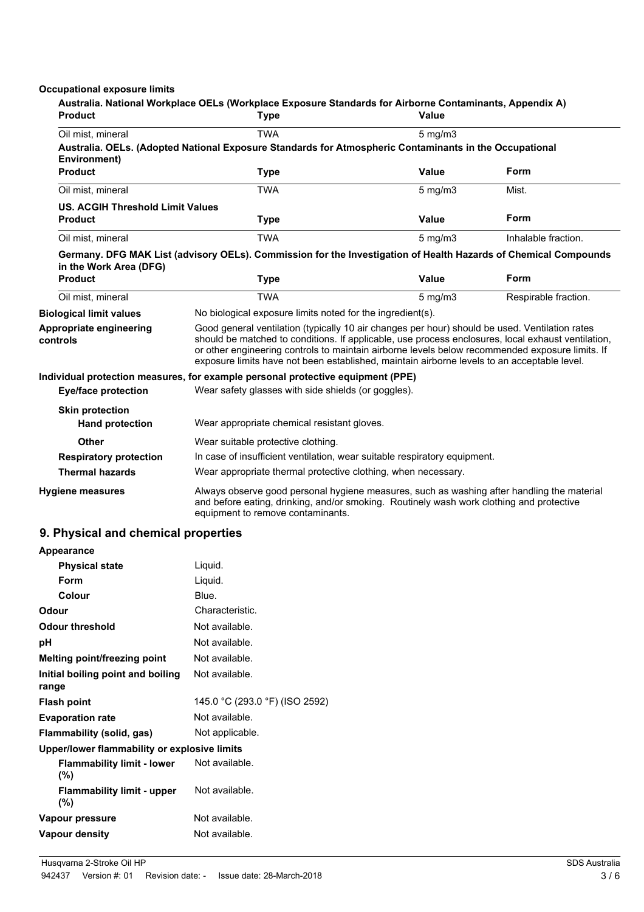### **Occupational exposure limits**

| <b>Product</b>                                   | Australia. National Workplace OELs (Workplace Exposure Standards for Airborne Contaminants, Appendix A)<br>Type                                                                                                                                                                                                                                                                                        | Value            |                      |
|--------------------------------------------------|--------------------------------------------------------------------------------------------------------------------------------------------------------------------------------------------------------------------------------------------------------------------------------------------------------------------------------------------------------------------------------------------------------|------------------|----------------------|
| Oil mist, mineral                                | <b>TWA</b>                                                                                                                                                                                                                                                                                                                                                                                             | $5 \text{ mg/m}$ |                      |
| Environment)                                     | Australia. OELs. (Adopted National Exposure Standards for Atmospheric Contaminants in the Occupational                                                                                                                                                                                                                                                                                                 |                  |                      |
| <b>Product</b>                                   | <b>Type</b>                                                                                                                                                                                                                                                                                                                                                                                            | <b>Value</b>     | Form                 |
| Oil mist, mineral                                | <b>TWA</b>                                                                                                                                                                                                                                                                                                                                                                                             | $5$ mg/m $3$     | Mist.                |
| <b>US. ACGIH Threshold Limit Values</b>          |                                                                                                                                                                                                                                                                                                                                                                                                        |                  |                      |
| <b>Product</b>                                   | Type                                                                                                                                                                                                                                                                                                                                                                                                   | <b>Value</b>     | Form                 |
| Oil mist, mineral                                | <b>TWA</b>                                                                                                                                                                                                                                                                                                                                                                                             | $5$ mg/m $3$     | Inhalable fraction.  |
| in the Work Area (DFG)                           | Germany. DFG MAK List (advisory OELs). Commission for the Investigation of Health Hazards of Chemical Compounds                                                                                                                                                                                                                                                                                        |                  |                      |
| <b>Product</b>                                   | <b>Type</b>                                                                                                                                                                                                                                                                                                                                                                                            | <b>Value</b>     | Form                 |
| Oil mist, mineral                                | <b>TWA</b>                                                                                                                                                                                                                                                                                                                                                                                             | $5 \text{ mg/m}$ | Respirable fraction. |
| <b>Biological limit values</b>                   | No biological exposure limits noted for the ingredient(s).                                                                                                                                                                                                                                                                                                                                             |                  |                      |
| Appropriate engineering<br>controls              | Good general ventilation (typically 10 air changes per hour) should be used. Ventilation rates<br>should be matched to conditions. If applicable, use process enclosures, local exhaust ventilation,<br>or other engineering controls to maintain airborne levels below recommended exposure limits. If<br>exposure limits have not been established, maintain airborne levels to an acceptable level. |                  |                      |
| <b>Eye/face protection</b>                       | Individual protection measures, for example personal protective equipment (PPE)<br>Wear safety glasses with side shields (or goggles).                                                                                                                                                                                                                                                                 |                  |                      |
| <b>Skin protection</b><br><b>Hand protection</b> | Wear appropriate chemical resistant gloves.                                                                                                                                                                                                                                                                                                                                                            |                  |                      |
| <b>Other</b>                                     | Wear suitable protective clothing.                                                                                                                                                                                                                                                                                                                                                                     |                  |                      |
| <b>Respiratory protection</b>                    | In case of insufficient ventilation, wear suitable respiratory equipment.                                                                                                                                                                                                                                                                                                                              |                  |                      |
| <b>Thermal hazards</b>                           | Wear appropriate thermal protective clothing, when necessary.                                                                                                                                                                                                                                                                                                                                          |                  |                      |
| <b>Hygiene measures</b>                          | Always observe good personal hygiene measures, such as washing after handling the material<br>and before eating, drinking, and/or smoking. Routinely wash work clothing and protective<br>equipment to remove contaminants.                                                                                                                                                                            |                  |                      |

## **9. Physical and chemical properties**

| <b>Appearance</b>                            |                                |  |
|----------------------------------------------|--------------------------------|--|
| <b>Physical state</b>                        | Liquid.                        |  |
| Form                                         | Liquid.                        |  |
| Colour                                       | Blue.                          |  |
| Odour                                        | Characteristic.                |  |
| Odour threshold                              | Not available.                 |  |
| рH                                           | Not available.                 |  |
| Melting point/freezing point                 | Not available.                 |  |
| Initial boiling point and boiling<br>range   | Not available.                 |  |
| <b>Flash point</b>                           | 145.0 °C (293.0 °F) (ISO 2592) |  |
| <b>Evaporation rate</b>                      | Not available.                 |  |
| Flammability (solid, gas)                    | Not applicable.                |  |
| Upper/lower flammability or explosive limits |                                |  |
| <b>Flammability limit - lower</b><br>$(\% )$ | Not available.                 |  |
| <b>Flammability limit - upper</b><br>$(\% )$ | Not available.                 |  |
| Vapour pressure                              | Not available.                 |  |
| <b>Vapour density</b>                        | Not available.                 |  |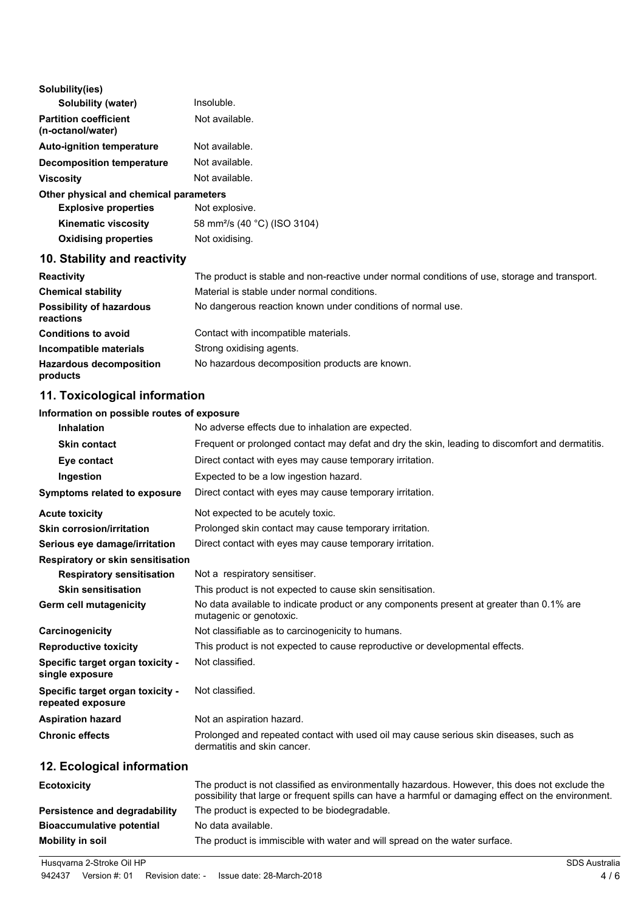| Solubility(ies)                                   |                |
|---------------------------------------------------|----------------|
| Solubility (water)                                | Insoluble.     |
| <b>Partition coefficient</b><br>(n-octanol/water) | Not available. |
| <b>Auto-ignition temperature</b>                  | Not available. |
| <b>Decomposition temperature</b>                  | Not available. |
| <b>Viscosity</b>                                  | Not available. |
| .                                                 |                |

### **Other physical and chemical parameters**

| <b>Explosive properties</b> | Not explosive.                           |
|-----------------------------|------------------------------------------|
| <b>Kinematic viscosity</b>  | 58 mm <sup>2</sup> /s (40 °C) (ISO 3104) |
| <b>Oxidising properties</b> | Not oxidising.                           |

## **10. Stability and reactivity**

| <b>Reactivity</b>                            | The product is stable and non-reactive under normal conditions of use, storage and transport. |
|----------------------------------------------|-----------------------------------------------------------------------------------------------|
| <b>Chemical stability</b>                    | Material is stable under normal conditions.                                                   |
| <b>Possibility of hazardous</b><br>reactions | No dangerous reaction known under conditions of normal use.                                   |
| <b>Conditions to avoid</b>                   | Contact with incompatible materials.                                                          |
| Incompatible materials                       | Strong oxidising agents.                                                                      |
| <b>Hazardous decomposition</b><br>products   | No hazardous decomposition products are known.                                                |

## **11. Toxicological information**

## **Information on possible routes of exposure**

| <b>Inhalation</b>                                     | No adverse effects due to inhalation are expected.                                                                                                                                                    |
|-------------------------------------------------------|-------------------------------------------------------------------------------------------------------------------------------------------------------------------------------------------------------|
| <b>Skin contact</b>                                   | Frequent or prolonged contact may defat and dry the skin, leading to discomfort and dermatitis.                                                                                                       |
| Eye contact                                           | Direct contact with eyes may cause temporary irritation.                                                                                                                                              |
| Ingestion                                             | Expected to be a low ingestion hazard.                                                                                                                                                                |
| <b>Symptoms related to exposure</b>                   | Direct contact with eyes may cause temporary irritation.                                                                                                                                              |
| <b>Acute toxicity</b>                                 | Not expected to be acutely toxic.                                                                                                                                                                     |
| <b>Skin corrosion/irritation</b>                      | Prolonged skin contact may cause temporary irritation.                                                                                                                                                |
| Serious eye damage/irritation                         | Direct contact with eyes may cause temporary irritation.                                                                                                                                              |
| Respiratory or skin sensitisation                     |                                                                                                                                                                                                       |
| <b>Respiratory sensitisation</b>                      | Not a respiratory sensitiser.                                                                                                                                                                         |
| <b>Skin sensitisation</b>                             | This product is not expected to cause skin sensitisation.                                                                                                                                             |
| Germ cell mutagenicity                                | No data available to indicate product or any components present at greater than 0.1% are<br>mutagenic or genotoxic.                                                                                   |
| Carcinogenicity                                       | Not classifiable as to carcinogenicity to humans.                                                                                                                                                     |
| <b>Reproductive toxicity</b>                          | This product is not expected to cause reproductive or developmental effects.                                                                                                                          |
| Specific target organ toxicity -<br>single exposure   | Not classified.                                                                                                                                                                                       |
| Specific target organ toxicity -<br>repeated exposure | Not classified.                                                                                                                                                                                       |
| <b>Aspiration hazard</b>                              | Not an aspiration hazard.                                                                                                                                                                             |
| <b>Chronic effects</b>                                | Prolonged and repeated contact with used oil may cause serious skin diseases, such as<br>dermatitis and skin cancer.                                                                                  |
| 12. Ecological information                            |                                                                                                                                                                                                       |
| <b>Ecotoxicity</b>                                    | The product is not classified as environmentally hazardous. However, this does not exclude the<br>possibility that large or frequent spills can have a harmful or damaging effect on the environment. |
| Persistence and degradability                         | The product is expected to be biodegradable.                                                                                                                                                          |
| <b>Bioaccumulative potential</b>                      | No data available.                                                                                                                                                                                    |
| <b>Mobility in soil</b>                               | The product is immiscible with water and will spread on the water surface.                                                                                                                            |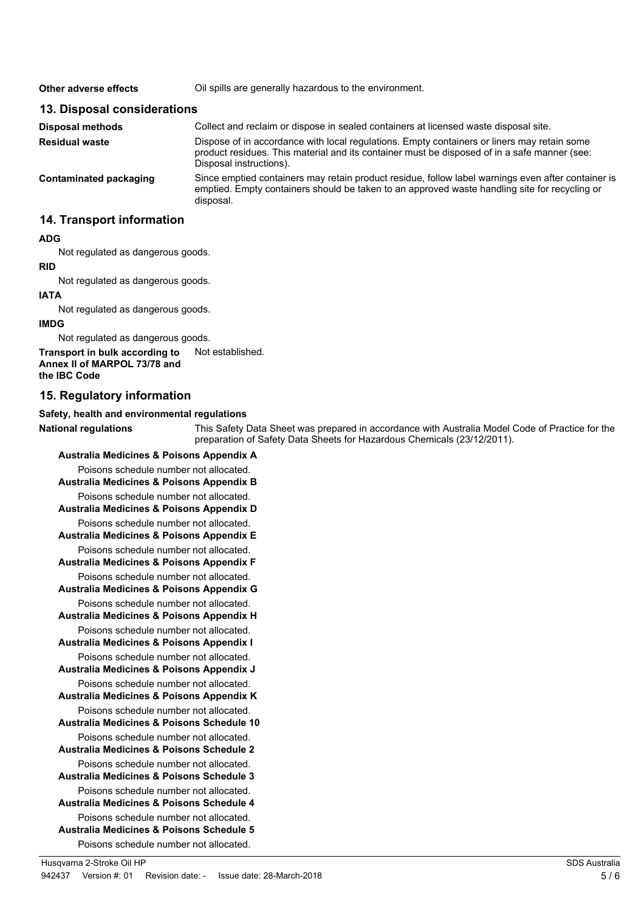| Oil spills are generally hazardous to the environment.                                                                                                                                                                 |
|------------------------------------------------------------------------------------------------------------------------------------------------------------------------------------------------------------------------|
| 13. Disposal considerations                                                                                                                                                                                            |
| Collect and reclaim or dispose in sealed containers at licensed waste disposal site.                                                                                                                                   |
| Dispose of in accordance with local regulations. Empty containers or liners may retain some<br>product residues. This material and its container must be disposed of in a safe manner (see:<br>Disposal instructions). |
| Since emptied containers may retain product residue, follow label warnings even after container is<br>emptied. Empty containers should be taken to an approved waste handling site for recycling or<br>disposal.       |
|                                                                                                                                                                                                                        |

## **14. Transport information**

### **ADG**

Not regulated as dangerous goods.

### **RID**

Not regulated as dangerous goods.

### **IATA**

Not regulated as dangerous goods.

### **IMDG**

Not regulated as dangerous goods.

**Transport in bulk according to** Not established. **Annex II of MARPOL 73/78 and the IBC Code**

### **15. Regulatory information**

### **Safety, health and environmental regulations**

**National regulations**

This Safety Data Sheet was prepared in accordance with Australia Model Code of Practice for the preparation of Safety Data Sheets for Hazardous Chemicals (23/12/2011).

**Australia Medicines & Poisons Appendix A** Poisons schedule number not allocated. **Australia Medicines & Poisons Appendix B** Poisons schedule number not allocated. **Australia Medicines & Poisons Appendix D** Poisons schedule number not allocated. **Australia Medicines & Poisons Appendix E** Poisons schedule number not allocated. **Australia Medicines & Poisons Appendix F** Poisons schedule number not allocated. **Australia Medicines & Poisons Appendix G** Poisons schedule number not allocated. **Australia Medicines & Poisons Appendix H** Poisons schedule number not allocated. **Australia Medicines & Poisons Appendix I** Poisons schedule number not allocated. **Australia Medicines & Poisons Appendix J** Poisons schedule number not allocated. **Australia Medicines & Poisons Appendix K** Poisons schedule number not allocated. **Australia Medicines & Poisons Schedule 10** Poisons schedule number not allocated. **Australia Medicines & Poisons Schedule 2** Poisons schedule number not allocated. **Australia Medicines & Poisons Schedule 3** Poisons schedule number not allocated. **Australia Medicines & Poisons Schedule 4** Poisons schedule number not allocated. **Australia Medicines & Poisons Schedule 5** Poisons schedule number not allocated.